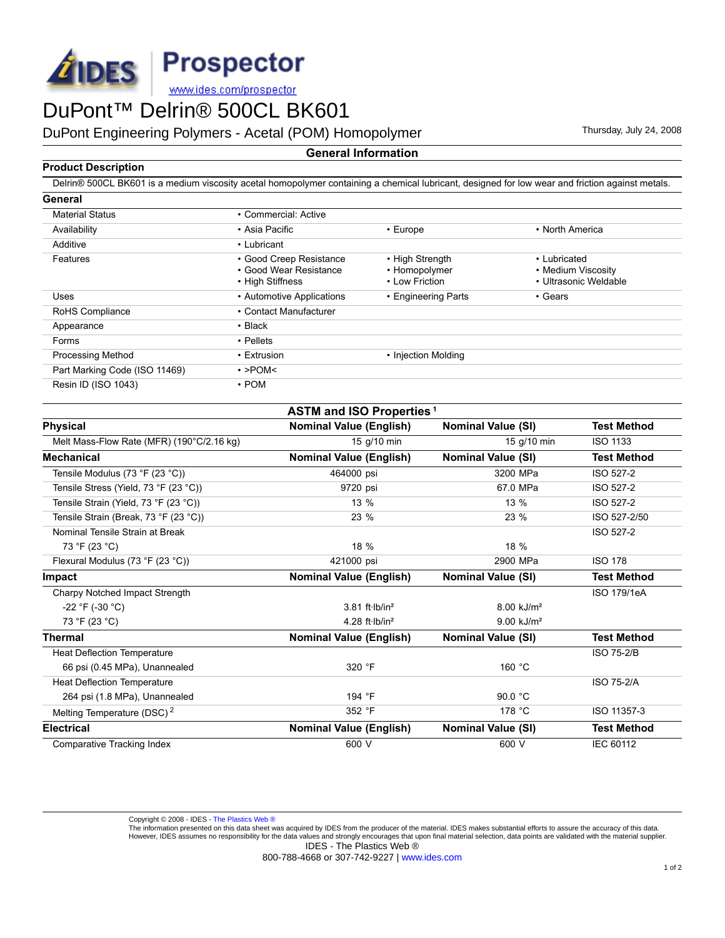

DuPont Engineering Polymers - Acetal (POM) Homopolymer Thursday, July 24, 2008

## **General Information**

## **Product Description**

Delrin® 500CL BK601 is a medium viscosity acetal homopolymer containing a chemical lubricant, designed for low wear and friction against metals.

| General                       |                                                                       |                                                    |                                                             |
|-------------------------------|-----------------------------------------------------------------------|----------------------------------------------------|-------------------------------------------------------------|
| <b>Material Status</b>        | • Commercial: Active                                                  |                                                    |                                                             |
| Availability                  | • Asia Pacific                                                        | $\cdot$ Europe                                     | • North America                                             |
| Additive                      | • Lubricant                                                           |                                                    |                                                             |
| Features                      | • Good Creep Resistance<br>• Good Wear Resistance<br>• High Stiffness | • High Strength<br>• Homopolymer<br>• Low Friction | • Lubricated<br>• Medium Viscosity<br>• Ultrasonic Weldable |
| Uses                          | • Automotive Applications                                             | • Engineering Parts                                | • Gears                                                     |
| RoHS Compliance               | • Contact Manufacturer                                                |                                                    |                                                             |
| Appearance                    | $\cdot$ Black                                                         |                                                    |                                                             |
| Forms                         | • Pellets                                                             |                                                    |                                                             |
| <b>Processing Method</b>      | • Extrusion                                                           | • Injection Molding                                |                                                             |
| Part Marking Code (ISO 11469) | $\cdot$ >POM<                                                         |                                                    |                                                             |
| Resin ID (ISO 1043)           | $\cdot$ POM                                                           |                                                    |                                                             |

| <b>ASTM and ISO Properties<sup>1</sup></b> |                                      |                           |                    |  |  |  |  |
|--------------------------------------------|--------------------------------------|---------------------------|--------------------|--|--|--|--|
| <b>Physical</b>                            | <b>Nominal Value (English)</b>       | <b>Nominal Value (SI)</b> | <b>Test Method</b> |  |  |  |  |
| Melt Mass-Flow Rate (MFR) (190°C/2.16 kg)  | 15 g/10 min                          | 15 g/10 min               | <b>ISO 1133</b>    |  |  |  |  |
| <b>Mechanical</b>                          | <b>Nominal Value (English)</b>       | <b>Nominal Value (SI)</b> | <b>Test Method</b> |  |  |  |  |
| Tensile Modulus (73 °F (23 °C))            | 464000 psi                           | 3200 MPa                  | ISO 527-2          |  |  |  |  |
| Tensile Stress (Yield, 73 °F (23 °C))      | 9720 psi                             | 67.0 MPa                  | ISO 527-2          |  |  |  |  |
| Tensile Strain (Yield, 73 °F (23 °C))      | 13 %                                 | 13 %                      | ISO 527-2          |  |  |  |  |
| Tensile Strain (Break, 73 °F (23 °C))      | 23 %                                 | 23 %                      | ISO 527-2/50       |  |  |  |  |
| Nominal Tensile Strain at Break            |                                      |                           | ISO 527-2          |  |  |  |  |
| 73 °F (23 °C)                              | 18 %                                 | 18 %                      |                    |  |  |  |  |
| Flexural Modulus (73 °F (23 °C))           | 421000 psi                           | 2900 MPa                  | <b>ISO 178</b>     |  |  |  |  |
| <b>Impact</b>                              | <b>Nominal Value (English)</b>       | <b>Nominal Value (SI)</b> | <b>Test Method</b> |  |  |  |  |
| Charpy Notched Impact Strength             |                                      |                           | <b>ISO 179/1eA</b> |  |  |  |  |
| $-22$ °F (-30 °C)                          | $3.81$ ft $\cdot$ lb/in <sup>2</sup> | $8.00$ kJ/m <sup>2</sup>  |                    |  |  |  |  |
| 73 °F (23 °C)                              | 4.28 ft $\cdot$ lb/in <sup>2</sup>   | $9.00$ kJ/m <sup>2</sup>  |                    |  |  |  |  |
| <b>Thermal</b>                             | <b>Nominal Value (English)</b>       | <b>Nominal Value (SI)</b> | <b>Test Method</b> |  |  |  |  |
| Heat Deflection Temperature                |                                      |                           | <b>ISO 75-2/B</b>  |  |  |  |  |
| 66 psi (0.45 MPa), Unannealed              | 320 °F                               | 160 °C                    |                    |  |  |  |  |
| <b>Heat Deflection Temperature</b>         |                                      |                           | <b>ISO 75-2/A</b>  |  |  |  |  |
| 264 psi (1.8 MPa), Unannealed              | 194 °F                               | 90.0 $°C$                 |                    |  |  |  |  |
| Melting Temperature (DSC) <sup>2</sup>     | 352 °F                               | 178 °C                    | ISO 11357-3        |  |  |  |  |
| <b>Electrical</b>                          | <b>Nominal Value (English)</b>       | <b>Nominal Value (SI)</b> | <b>Test Method</b> |  |  |  |  |
| Comparative Tracking Index                 | 600 V                                | 600 V                     | <b>IEC 60112</b>   |  |  |  |  |
|                                            |                                      |                           |                    |  |  |  |  |

Copyright © 2008 - IDES - [The Plastics Web ®](http://www.ides.com)<br>The information presented on this data sheet was acquired by IDES from the producer of the material. IDES makes substantial efforts to assure the accuracy of this data. However, IDES assumes no responsibility for the data values and strongly encourages that upon final material selection, data points are validated with the material supplier. IDES - The Plastics Web ®

800-788-4668 or 307-742-9227 | [www.ides.com](http://www.ides.com)